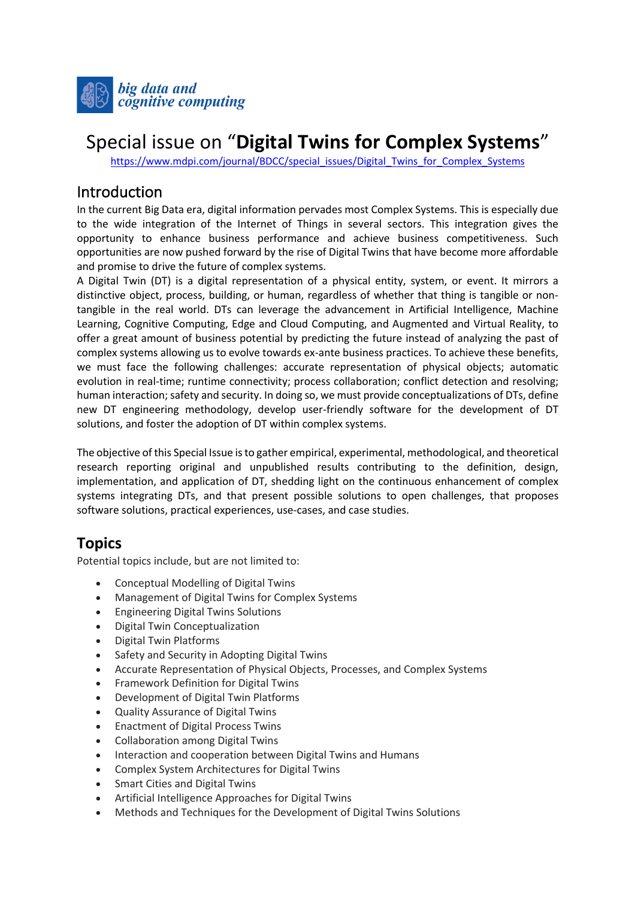

# Special issue on "**Digital Twins for Complex Systems**"

https://www.mdpi.com/journal/BDCC/special\_issues/Digital\_Twins\_for\_Complex\_Systems

## Introduction

In the current Big Data era, digital information pervades most Complex Systems. This is especially due to the wide integration of the Internet of Things in several sectors. This integration gives the opportunity to enhance business performance and achieve business competitiveness. Such opportunities are now pushed forward by the rise of Digital Twins that have become more affordable and promise to drive the future of complex systems.

A Digital Twin (DT) is a digital representation of a physical entity, system, or event. It mirrors a distinctive object, process, building, or human, regardless of whether that thing is tangible or nontangible in the real world. DTs can leverage the advancement in Artificial Intelligence, Machine Learning, Cognitive Computing, Edge and Cloud Computing, and Augmented and Virtual Reality, to offer a great amount of business potential by predicting the future instead of analyzing the past of complex systems allowing us to evolve towards ex-ante business practices. To achieve these benefits, we must face the following challenges: accurate representation of physical objects; automatic evolution in real-time; runtime connectivity; process collaboration; conflict detection and resolving; human interaction; safety and security. In doing so, we must provide conceptualizations of DTs, define new DT engineering methodology, develop user-friendly software for the development of DT solutions, and foster the adoption of DT within complex systems.

The objective of this Special Issue is to gather empirical, experimental, methodological, and theoretical research reporting original and unpublished results contributing to the definition, design, implementation, and application of DT, shedding light on the continuous enhancement of complex systems integrating DTs, and that present possible solutions to open challenges, that proposes software solutions, practical experiences, use-cases, and case studies.

# **Topics**

Potential topics include, but are not limited to:

- Conceptual Modelling of Digital Twins
- Management of Digital Twins for Complex Systems
- Engineering Digital Twins Solutions
- Digital Twin Conceptualization
- Digital Twin Platforms
- Safety and Security in Adopting Digital Twins
- Accurate Representation of Physical Objects, Processes, and Complex Systems
- Framework Definition for Digital Twins
- Development of Digital Twin Platforms
- Quality Assurance of Digital Twins
- Enactment of Digital Process Twins
- Collaboration among Digital Twins
- Interaction and cooperation between Digital Twins and Humans
- Complex System Architectures for Digital Twins
- Smart Cities and Digital Twins
- Artificial Intelligence Approaches for Digital Twins
- Methods and Techniques for the Development of Digital Twins Solutions